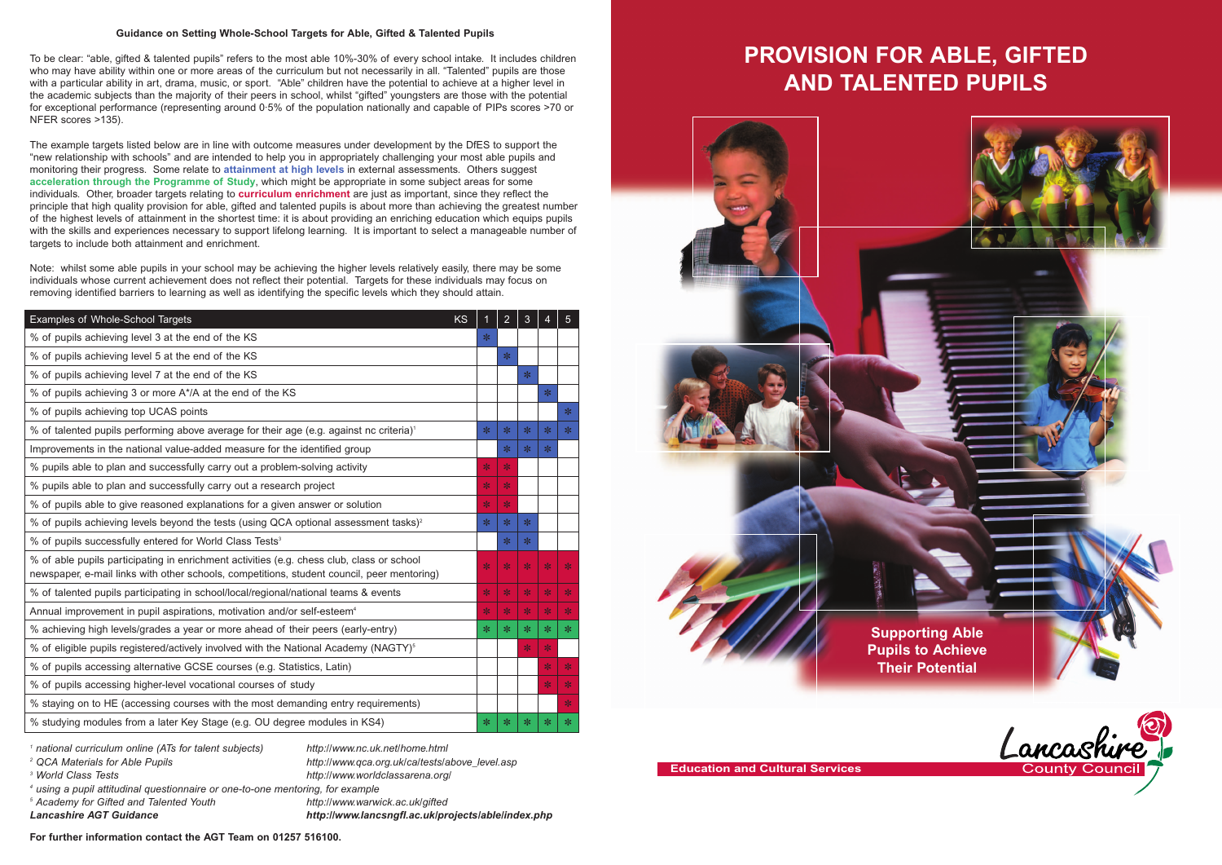# **PROVISION FOR ABLE, GIFTED**





**AND TALENTED PUPILS**



**Education and Cultural Services**

#### **Guidance on Setting Whole-School Targets for Able, Gifted & Talented Pupils**

To be clear: "able, gifted & talented pupils" refers to the most able 10%-30% of every school intake. It includes children who may have ability within one or more areas of the curriculum but not necessarily in all. "Talented" pupils are those with a particular ability in art, drama, music, or sport. "Able" children have the potential to achieve at a higher level in the academic subjects than the majority of their peers in school, whilst "gifted" youngsters are those with the potential for exceptional performance (representing around 0·5% of the population nationally and capable of PIPs scores >70 or NFER scores >135).

The example targets listed below are in line with outcome measures under development by the DfES to support the "new relationship with schools" and are intended to help you in appropriately challenging your most able pupils and monitoring their progress. Some relate to **attainment at high levels** in external assessments. Others suggest **acceleration through the Programme of Study**, which might be appropriate in some subject areas for some individuals. Other, broader targets relating to **curriculum enrichment** are just as important, since they reflect the principle that high quality provision for able, gifted and talented pupils is about more than achieving the greatest number of the highest levels of attainment in the shortest time: it is about providing an enriching education which equips pupils with the skills and experiences necessary to support lifelong learning. It is important to select a manageable number of targets to include both attainment and enrichment.

Note: whilst some able pupils in your school may be achieving the higher levels relatively easily, there may be some individuals whose current achievement does not reflect their potential. Targets for these individuals may focus on removing identified barriers to learning as well as identifying the specific levels which they should attain.

- <sup>2</sup> QCA Materials for Able Pupils http://www.qca.org.uk/ca/tests/above\_level.asp
- *<sup>3</sup> World Class Tests http://www.worldclassarena.org/*
- *<sup>4</sup> using a pupil attitudinal questionnaire or one-to-one mentoring, for example*
- *<sup>5</sup> Academy for Gifted and Talented Youth http://www.warwick.ac.uk/gifted*
- *Lancashire AGT Guidance http://www.lancsngfl.ac.uk/projects/able/index.php*

| <b>KS</b><br>Examples of Whole-School Targets                                                                                                                                           | 1      | $\overline{2}$ | 3      | 4      | $\overline{5}$ |
|-----------------------------------------------------------------------------------------------------------------------------------------------------------------------------------------|--------|----------------|--------|--------|----------------|
| % of pupils achieving level 3 at the end of the KS                                                                                                                                      | $\ast$ |                |        |        |                |
| % of pupils achieving level 5 at the end of the KS                                                                                                                                      |        | ∗              |        |        |                |
| % of pupils achieving level 7 at the end of the KS                                                                                                                                      |        |                | $*$    |        |                |
| % of pupils achieving 3 or more A*/A at the end of the KS                                                                                                                               |        |                |        | $*$    |                |
| % of pupils achieving top UCAS points                                                                                                                                                   |        |                |        |        | $*$            |
| % of talented pupils performing above average for their age (e.g. against nc criteria) <sup>1</sup>                                                                                     | ∗      | ∗              | ∗      | ∗      | $\ast$         |
| Improvements in the national value-added measure for the identified group                                                                                                               |        | $*$            | $\ast$ | $*$    |                |
| % pupils able to plan and successfully carry out a problem-solving activity                                                                                                             | $*$    | $*$            |        |        |                |
| % pupils able to plan and successfully carry out a research project                                                                                                                     | $\ast$ | $\ast$         |        |        |                |
| % of pupils able to give reasoned explanations for a given answer or solution                                                                                                           | $\ast$ | $\ast$         |        |        |                |
| % of pupils achieving levels beyond the tests (using QCA optional assessment tasks) <sup>2</sup>                                                                                        | $*$    | $*$            | ∗      |        |                |
| % of pupils successfully entered for World Class Tests <sup>3</sup>                                                                                                                     |        | $*$            | $\ast$ |        |                |
| % of able pupils participating in enrichment activities (e.g. chess club, class or school<br>newspaper, e-mail links with other schools, competitions, student council, peer mentoring) | $\ast$ | $\ast$         | $\ast$ | $*$    | $\ast$         |
| % of talented pupils participating in school/local/regional/national teams & events                                                                                                     | $\ast$ | $\ast$         | $\ast$ | $\ast$ | $\ast$         |
| Annual improvement in pupil aspirations, motivation and/or self-esteem <sup>4</sup>                                                                                                     | $*$    | $*$            | $*$    | $\ast$ | $\ast$         |
| % achieving high levels/grades a year or more ahead of their peers (early-entry)                                                                                                        | ∗      | ∗              | $\ast$ | ∗      | ∗              |
| % of eligible pupils registered/actively involved with the National Academy (NAGTY) <sup>5</sup>                                                                                        |        |                | $*$    | $*$    |                |
| % of pupils accessing alternative GCSE courses (e.g. Statistics, Latin)                                                                                                                 |        |                |        | $\ast$ | $\ast$         |
| % of pupils accessing higher-level vocational courses of study                                                                                                                          |        |                |        | $\ast$ | $\ast$         |
| % staying on to HE (accessing courses with the most demanding entry requirements)                                                                                                       |        |                |        |        | $\ast$         |
| % studying modules from a later Key Stage (e.g. OU degree modules in KS4)                                                                                                               | $\ast$ | ∗              | $\ast$ | ∗      | ∗              |



**For further information contact the AGT Team on 01257 516100.**